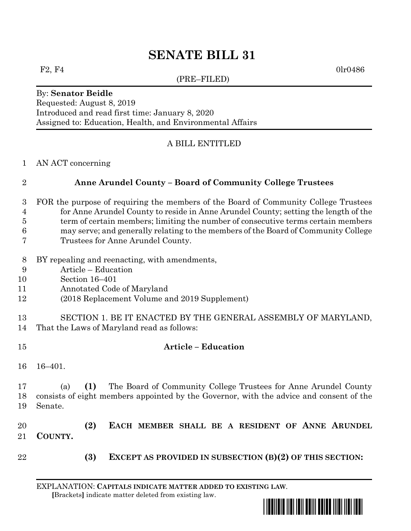# **SENATE BILL 31**

(PRE–FILED)

 $F2, F4$  0lr0486

## By: **Senator Beidle**

Requested: August 8, 2019 Introduced and read first time: January 8, 2020 Assigned to: Education, Health, and Environmental Affairs

## A BILL ENTITLED

#### AN ACT concerning

## **Anne Arundel County – Board of Community College Trustees**

- FOR the purpose of requiring the members of the Board of Community College Trustees for Anne Arundel County to reside in Anne Arundel County; setting the length of the term of certain members; limiting the number of consecutive terms certain members may serve; and generally relating to the members of the Board of Community College
- Trustees for Anne Arundel County.
- BY repealing and reenacting, with amendments,
- Article Education
- Section 16–401
- Annotated Code of Maryland
- (2018 Replacement Volume and 2019 Supplement)
- SECTION 1. BE IT ENACTED BY THE GENERAL ASSEMBLY OF MARYLAND, That the Laws of Maryland read as follows:
- **Article – Education**
	- 16–401.

 (a) **(1)** The Board of Community College Trustees for Anne Arundel County consists of eight members appointed by the Governor, with the advice and consent of the Senate.

 **(2) EACH MEMBER SHALL BE A RESIDENT OF ANNE ARUNDEL COUNTY.**

- 
- **(3) EXCEPT AS PROVIDED IN SUBSECTION (B)(2) OF THIS SECTION:**

EXPLANATION: **CAPITALS INDICATE MATTER ADDED TO EXISTING LAW**.  **[**Brackets**]** indicate matter deleted from existing law.